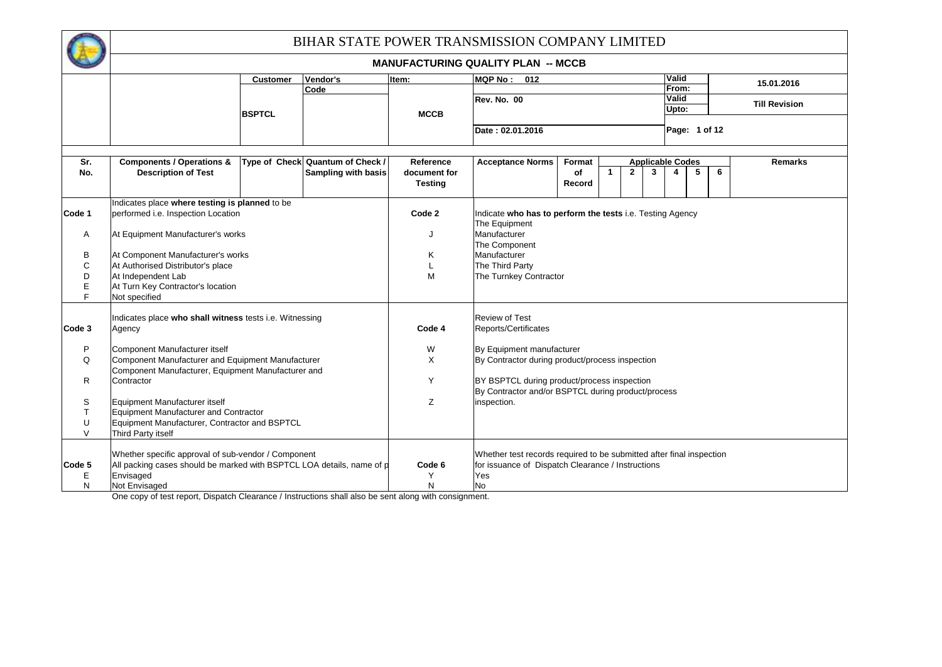

## BIHAR STATE POWER TRANSMISSION COMPANY LIMITED

|        |                                                                                    |                 |                            |                | <b>MANUFACTURING QUALITY PLAN -- MCCB</b>                                    |        |                   |   |                         |               |   |                      |  |  |  |
|--------|------------------------------------------------------------------------------------|-----------------|----------------------------|----------------|------------------------------------------------------------------------------|--------|-------------------|---|-------------------------|---------------|---|----------------------|--|--|--|
|        |                                                                                    | <b>Customer</b> | Vendor's                   | Item:          | <b>MQP No: 012</b>                                                           |        |                   |   | Valid                   |               |   | 15.01.2016           |  |  |  |
|        |                                                                                    |                 | Code                       |                |                                                                              |        |                   |   | From:                   |               |   |                      |  |  |  |
|        |                                                                                    |                 |                            |                | Rev. No. 00                                                                  |        |                   |   | Valid<br>Upto:          |               |   | <b>Till Revision</b> |  |  |  |
|        |                                                                                    | <b>BSPTCL</b>   |                            | <b>MCCB</b>    |                                                                              |        |                   |   |                         |               |   |                      |  |  |  |
|        |                                                                                    |                 |                            |                | Date: 02.01.2016                                                             |        |                   |   |                         | Page: 1 of 12 |   |                      |  |  |  |
| Sr.    | <b>Components / Operations &amp;</b>                                               | Type of Check   | <b>Quantum of Check /</b>  | Reference      | <b>Acceptance Norms</b>                                                      | Format |                   |   | <b>Applicable Codes</b> |               |   | <b>Remarks</b>       |  |  |  |
| No.    | <b>Description of Test</b>                                                         |                 | <b>Sampling with basis</b> | document for   |                                                                              | of     | $\mathbf{2}$<br>1 | 3 | 4                       | 5             | 6 |                      |  |  |  |
|        |                                                                                    |                 |                            | <b>Testing</b> |                                                                              | Record |                   |   |                         |               |   |                      |  |  |  |
|        | Indicates place where testing is planned to be                                     |                 |                            |                |                                                                              |        |                   |   |                         |               |   |                      |  |  |  |
| Code 1 | performed i.e. Inspection Location                                                 |                 |                            | Code 2         | Indicate who has to perform the tests i.e. Testing Agency                    |        |                   |   |                         |               |   |                      |  |  |  |
| Α      | At Equipment Manufacturer's works                                                  |                 |                            | J              | The Equipment<br>Manufacturer                                                |        |                   |   |                         |               |   |                      |  |  |  |
|        |                                                                                    |                 |                            |                | The Component                                                                |        |                   |   |                         |               |   |                      |  |  |  |
| B      | At Component Manufacturer's works                                                  |                 |                            | Κ              | Manufacturer                                                                 |        |                   |   |                         |               |   |                      |  |  |  |
| C      | At Authorised Distributor's place                                                  |                 |                            |                | The Third Party                                                              |        |                   |   |                         |               |   |                      |  |  |  |
| D      | At Independent Lab                                                                 |                 |                            | M              | The Turnkey Contractor                                                       |        |                   |   |                         |               |   |                      |  |  |  |
| Ε<br>F | At Turn Key Contractor's location<br>Not specified                                 |                 |                            |                |                                                                              |        |                   |   |                         |               |   |                      |  |  |  |
|        |                                                                                    |                 |                            |                |                                                                              |        |                   |   |                         |               |   |                      |  |  |  |
|        | Indicates place who shall witness tests i.e. Witnessing                            |                 |                            |                | <b>Review of Test</b>                                                        |        |                   |   |                         |               |   |                      |  |  |  |
| Code 3 | Agency                                                                             |                 |                            | Code 4         | Reports/Certificates                                                         |        |                   |   |                         |               |   |                      |  |  |  |
| P      |                                                                                    |                 |                            |                |                                                                              |        |                   |   |                         |               |   |                      |  |  |  |
| Q      | Component Manufacturer itself<br>Component Manufacturer and Equipment Manufacturer |                 |                            | W<br>X         | By Equipment manufacturer<br>By Contractor during product/process inspection |        |                   |   |                         |               |   |                      |  |  |  |
|        | Component Manufacturer, Equipment Manufacturer and                                 |                 |                            |                |                                                                              |        |                   |   |                         |               |   |                      |  |  |  |
| R      | Contractor                                                                         |                 |                            | Y              | BY BSPTCL during product/process inspection                                  |        |                   |   |                         |               |   |                      |  |  |  |
|        |                                                                                    |                 |                            |                | By Contractor and/or BSPTCL during product/process                           |        |                   |   |                         |               |   |                      |  |  |  |
| S      | Equipment Manufacturer itself                                                      |                 |                            | Z              | inspection.                                                                  |        |                   |   |                         |               |   |                      |  |  |  |
| T.     | Equipment Manufacturer and Contractor                                              |                 |                            |                |                                                                              |        |                   |   |                         |               |   |                      |  |  |  |
| U<br>V | Equipment Manufacturer, Contractor and BSPTCL<br>Third Party itself                |                 |                            |                |                                                                              |        |                   |   |                         |               |   |                      |  |  |  |
|        |                                                                                    |                 |                            |                |                                                                              |        |                   |   |                         |               |   |                      |  |  |  |
|        | Whether specific approval of sub-vendor / Component                                |                 |                            |                | Whether test records required to be submitted after final inspection         |        |                   |   |                         |               |   |                      |  |  |  |
| Code 5 | All packing cases should be marked with BSPTCL LOA details, name of p              |                 |                            | Code 6         | for issuance of Dispatch Clearance / Instructions                            |        |                   |   |                         |               |   |                      |  |  |  |
| Ε      | Envisaged                                                                          |                 |                            |                | Yes                                                                          |        |                   |   |                         |               |   |                      |  |  |  |
| N      | Not Envisaged                                                                      |                 |                            | N              | No                                                                           |        |                   |   |                         |               |   |                      |  |  |  |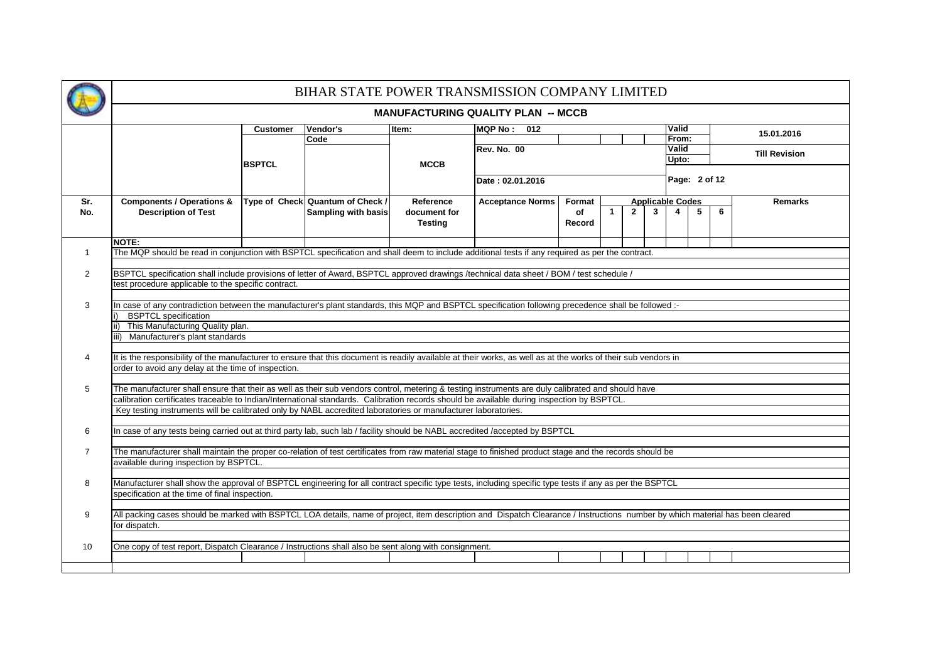|                |                                                                                                                                                                                                                                                                                                                                                                                                                  |                 |                                  |                                | BIHAR STATE POWER TRANSMISSION COMPANY LIMITED |              |   |              |                              |                |   |                      |  |  |
|----------------|------------------------------------------------------------------------------------------------------------------------------------------------------------------------------------------------------------------------------------------------------------------------------------------------------------------------------------------------------------------------------------------------------------------|-----------------|----------------------------------|--------------------------------|------------------------------------------------|--------------|---|--------------|------------------------------|----------------|---|----------------------|--|--|
|                |                                                                                                                                                                                                                                                                                                                                                                                                                  |                 |                                  |                                | <b>MANUFACTURING QUALITY PLAN -- MCCB</b>      |              |   |              |                              |                |   |                      |  |  |
|                |                                                                                                                                                                                                                                                                                                                                                                                                                  | <b>Customer</b> | Vendor's<br>Code                 | Item:                          | <b>MQP No: 012</b>                             |              |   |              | Valid                        | From:          |   | 15.01.2016           |  |  |
|                |                                                                                                                                                                                                                                                                                                                                                                                                                  | <b>BSPTCL</b>   |                                  | <b>MCCB</b>                    | Rev. No. 00                                    |              |   |              |                              | Valid<br>Upto: |   | <b>Till Revision</b> |  |  |
|                |                                                                                                                                                                                                                                                                                                                                                                                                                  |                 |                                  |                                | Date: 02.01.2016                               |              |   |              |                              | Page: 2 of 12  |   |                      |  |  |
| Sr.            | <b>Components / Operations &amp;</b>                                                                                                                                                                                                                                                                                                                                                                             |                 | Type of Check Quantum of Check / | Reference                      | <b>Acceptance Norms</b>                        | Format       |   |              | <b>Applicable Codes</b>      |                |   | <b>Remarks</b>       |  |  |
| No.            | <b>Description of Test</b>                                                                                                                                                                                                                                                                                                                                                                                       |                 | Sampling with basis              | document for<br><b>Testing</b> |                                                | of<br>Record | 1 | $\mathbf{2}$ | $\mathbf{3}$<br>$\mathbf{A}$ | 5              | 6 |                      |  |  |
|                | NOTE:                                                                                                                                                                                                                                                                                                                                                                                                            |                 |                                  |                                |                                                |              |   |              |                              |                |   |                      |  |  |
| $\mathbf{1}$   | The MQP should be read in conjunction with BSPTCL specification and shall deem to include additional tests if any required as per the contract.                                                                                                                                                                                                                                                                  |                 |                                  |                                |                                                |              |   |              |                              |                |   |                      |  |  |
| $\overline{2}$ | BSPTCL specification shall include provisions of letter of Award, BSPTCL approved drawings /technical data sheet / BOM / test schedule /                                                                                                                                                                                                                                                                         |                 |                                  |                                |                                                |              |   |              |                              |                |   |                      |  |  |
| 3              | test procedure applicable to the specific contract.<br>In case of any contradiction between the manufacturer's plant standards, this MQP and BSPTCL specification following precedence shall be followed :-<br><b>BSPTCL</b> specification<br>This Manufacturing Quality plan.<br>Manufacturer's plant standards                                                                                                 |                 |                                  |                                |                                                |              |   |              |                              |                |   |                      |  |  |
| 4              | It is the responsibility of the manufacturer to ensure that this document is readily available at their works, as well as at the works of their sub vendors in<br>order to avoid any delay at the time of inspection.                                                                                                                                                                                            |                 |                                  |                                |                                                |              |   |              |                              |                |   |                      |  |  |
| 5              | The manufacturer shall ensure that their as well as their sub vendors control, metering & testing instruments are duly calibrated and should have<br>calibration certificates traceable to Indian/International standards. Calibration records should be available during inspection by BSPTCL.<br>Key testing instruments will be calibrated only by NABL accredited laboratories or manufacturer laboratories. |                 |                                  |                                |                                                |              |   |              |                              |                |   |                      |  |  |
| 6              | In case of any tests being carried out at third party lab, such lab / facility should be NABL accredited /accepted by BSPTCL                                                                                                                                                                                                                                                                                     |                 |                                  |                                |                                                |              |   |              |                              |                |   |                      |  |  |
| $\overline{7}$ | The manufacturer shall maintain the proper co-relation of test certificates from raw material stage to finished product stage and the records should be<br>available during inspection by BSPTCL.                                                                                                                                                                                                                |                 |                                  |                                |                                                |              |   |              |                              |                |   |                      |  |  |
| 8              | Manufacturer shall show the approval of BSPTCL engineering for all contract specific type tests, including specific type tests if any as per the BSPTCL<br>specification at the time of final inspection.                                                                                                                                                                                                        |                 |                                  |                                |                                                |              |   |              |                              |                |   |                      |  |  |
| 9              | All packing cases should be marked with BSPTCL LOA details, name of project, item description and Dispatch Clearance / Instructions number by which material has been cleared<br>for dispatch.                                                                                                                                                                                                                   |                 |                                  |                                |                                                |              |   |              |                              |                |   |                      |  |  |
| 10             | One copy of test report, Dispatch Clearance / Instructions shall also be sent along with consignment.                                                                                                                                                                                                                                                                                                            |                 |                                  |                                |                                                |              |   |              |                              |                |   |                      |  |  |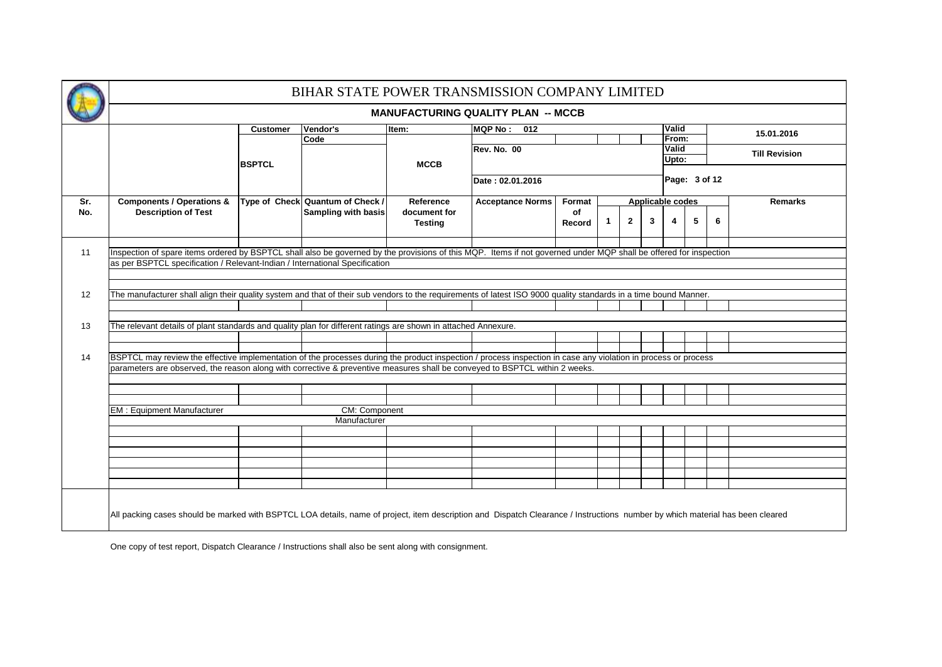|     |                                                                                                                                                                               |                 |                                  |                | BIHAR STATE POWER TRANSMISSION COMPANY LIMITED |        |             |              |                         |                |               |   |                      |  |
|-----|-------------------------------------------------------------------------------------------------------------------------------------------------------------------------------|-----------------|----------------------------------|----------------|------------------------------------------------|--------|-------------|--------------|-------------------------|----------------|---------------|---|----------------------|--|
|     |                                                                                                                                                                               |                 |                                  |                | <b>MANUFACTURING QUALITY PLAN -- MCCB</b>      |        |             |              |                         |                |               |   |                      |  |
|     |                                                                                                                                                                               | <b>Customer</b> | Vendor's                         | Item:          | <b>MQP No: 012</b>                             |        |             |              |                         | Valid          |               |   | 15.01.2016           |  |
|     |                                                                                                                                                                               |                 | Code                             |                | Rev. No. 00                                    |        |             |              |                         | From:<br>Valid |               |   |                      |  |
|     |                                                                                                                                                                               | <b>BSPTCL</b>   |                                  | <b>MCCB</b>    |                                                |        |             |              |                         | Upto:          |               |   | <b>Till Revision</b> |  |
|     |                                                                                                                                                                               |                 |                                  |                | Date: 02.01.2016                               |        |             |              |                         |                | Page: 3 of 12 |   |                      |  |
| Sr. | <b>Components / Operations &amp;</b>                                                                                                                                          |                 | Type of Check Quantum of Check / | Reference      | <b>Acceptance Norms</b>                        | Format |             |              | <b>Applicable codes</b> |                |               |   | <b>Remarks</b>       |  |
| No. | <b>Description of Test</b>                                                                                                                                                    |                 | <b>Sampling with basis</b>       | document for   |                                                | of     |             |              |                         |                |               |   |                      |  |
|     |                                                                                                                                                                               |                 |                                  | <b>Testing</b> |                                                | Record | $\mathbf 1$ | $\mathbf{2}$ | 3                       | 4              | 5             | 6 |                      |  |
|     |                                                                                                                                                                               |                 |                                  |                |                                                |        |             |              |                         |                |               |   |                      |  |
| 11  | Inspection of spare items ordered by BSPTCL shall also be governed by the provisions of this MQP. Items if not governed under MQP shall be offered for inspection             |                 |                                  |                |                                                |        |             |              |                         |                |               |   |                      |  |
|     | as per BSPTCL specification / Relevant-Indian / International Specification                                                                                                   |                 |                                  |                |                                                |        |             |              |                         |                |               |   |                      |  |
|     |                                                                                                                                                                               |                 |                                  |                |                                                |        |             |              |                         |                |               |   |                      |  |
| 12  | The manufacturer shall align their quality system and that of their sub vendors to the requirements of latest ISO 9000 quality standards in a time bound Manner.              |                 |                                  |                |                                                |        |             |              |                         |                |               |   |                      |  |
|     |                                                                                                                                                                               |                 |                                  |                |                                                |        |             |              |                         |                |               |   |                      |  |
|     |                                                                                                                                                                               |                 |                                  |                |                                                |        |             |              |                         |                |               |   |                      |  |
| 13  | The relevant details of plant standards and quality plan for different ratings are shown in attached Annexure.                                                                |                 |                                  |                |                                                |        |             |              |                         |                |               |   |                      |  |
|     |                                                                                                                                                                               |                 |                                  |                |                                                |        |             |              |                         |                |               |   |                      |  |
|     |                                                                                                                                                                               |                 |                                  |                |                                                |        |             |              |                         |                |               |   |                      |  |
| 14  | BSPTCL may review the effective implementation of the processes during the product inspection / process inspection in case any violation in process or process                |                 |                                  |                |                                                |        |             |              |                         |                |               |   |                      |  |
|     | parameters are observed, the reason along with corrective & preventive measures shall be conveyed to BSPTCL within 2 weeks.                                                   |                 |                                  |                |                                                |        |             |              |                         |                |               |   |                      |  |
|     |                                                                                                                                                                               |                 |                                  |                |                                                |        |             |              |                         |                |               |   |                      |  |
|     |                                                                                                                                                                               |                 |                                  |                |                                                |        |             |              |                         |                |               |   |                      |  |
|     | <b>EM: Equipment Manufacturer</b>                                                                                                                                             |                 | CM: Component                    |                |                                                |        |             |              |                         |                |               |   |                      |  |
|     |                                                                                                                                                                               |                 | Manufacturer                     |                |                                                |        |             |              |                         |                |               |   |                      |  |
|     |                                                                                                                                                                               |                 |                                  |                |                                                |        |             |              |                         |                |               |   |                      |  |
|     |                                                                                                                                                                               |                 |                                  |                |                                                |        |             |              |                         |                |               |   |                      |  |
|     |                                                                                                                                                                               |                 |                                  |                |                                                |        |             |              |                         |                |               |   |                      |  |
|     |                                                                                                                                                                               |                 |                                  |                |                                                |        |             |              |                         |                |               |   |                      |  |
|     |                                                                                                                                                                               |                 |                                  |                |                                                |        |             |              |                         |                |               |   |                      |  |
|     |                                                                                                                                                                               |                 |                                  |                |                                                |        |             |              |                         |                |               |   |                      |  |
|     | All packing cases should be marked with BSPTCL LOA details, name of project, item description and Dispatch Clearance / Instructions number by which material has been cleared |                 |                                  |                |                                                |        |             |              |                         |                |               |   |                      |  |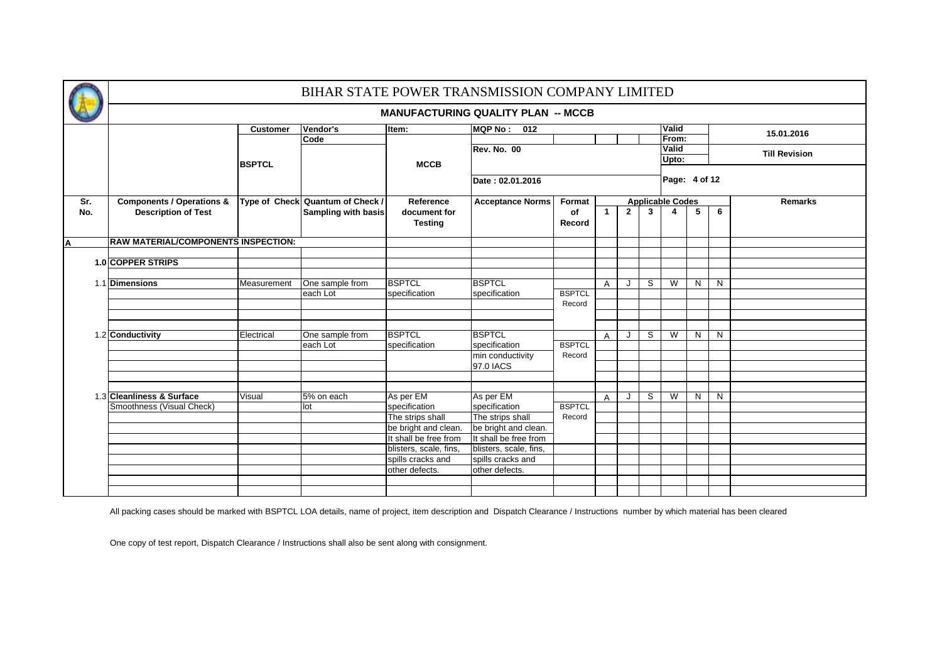|                |                                            |                 | BIHAR STATE POWER TRANSMISSION COMPANY LIMITED |                                               |                                               |               |   |              |              |                         |   |   |                      |
|----------------|--------------------------------------------|-----------------|------------------------------------------------|-----------------------------------------------|-----------------------------------------------|---------------|---|--------------|--------------|-------------------------|---|---|----------------------|
|                |                                            |                 |                                                |                                               | <b>MANUFACTURING QUALITY PLAN -- MCCB</b>     |               |   |              |              |                         |   |   |                      |
|                |                                            | <b>Customer</b> | Vendor's                                       | Item:                                         | <b>MQP No:</b><br>012                         |               |   |              |              | Valid                   |   |   | 15.01.2016           |
|                |                                            |                 | Code                                           |                                               |                                               |               |   |              |              | From:                   |   |   |                      |
|                |                                            |                 |                                                |                                               | <b>Rev. No. 00</b>                            |               |   |              |              | Valid                   |   |   | <b>Till Revision</b> |
|                |                                            | <b>BSPTCL</b>   |                                                | <b>MCCB</b>                                   |                                               |               |   |              |              | Upto:                   |   |   |                      |
|                |                                            |                 |                                                |                                               | Date: 02.01.2016                              |               |   |              |              | Page: 4 of 12           |   |   |                      |
| Sr.            | <b>Components / Operations &amp;</b>       |                 | Type of Check Quantum of Check /               | Reference                                     | <b>Acceptance Norms</b>                       | Format        |   |              |              | <b>Applicable Codes</b> |   |   | <b>Remarks</b>       |
| No.            | <b>Description of Test</b>                 |                 | <b>Sampling with basis</b>                     | document for<br><b>Testing</b>                |                                               | of<br>Record  | 1 | $\mathbf{2}$ | $\mathbf{3}$ | $\overline{\mathbf{4}}$ | 5 | 6 |                      |
| $\overline{A}$ | <b>RAW MATERIAL/COMPONENTS INSPECTION:</b> |                 |                                                |                                               |                                               |               |   |              |              |                         |   |   |                      |
|                |                                            |                 |                                                |                                               |                                               |               |   |              |              |                         |   |   |                      |
|                | 1.0 COPPER STRIPS                          |                 |                                                |                                               |                                               |               |   |              |              |                         |   |   |                      |
|                | 1.1 Dimensions                             |                 |                                                | <b>BSPTCL</b>                                 | <b>BSPTCL</b>                                 |               |   |              | S            | W                       |   |   |                      |
|                |                                            | Measurement     | One sample from<br>each Lot                    | specification                                 | specification                                 | <b>BSPTCL</b> | A |              |              |                         | N | N |                      |
|                |                                            |                 |                                                |                                               |                                               | Record        |   |              |              |                         |   |   |                      |
|                |                                            |                 |                                                |                                               |                                               |               |   |              |              |                         |   |   |                      |
|                |                                            |                 |                                                |                                               |                                               |               |   |              |              |                         |   |   |                      |
|                | 1.2 Conductivity                           | Electrical      | One sample from                                | <b>BSPTCL</b>                                 | <b>BSPTCL</b>                                 |               | A |              | S            | W                       | N | N |                      |
|                |                                            |                 | each Lot                                       | specification                                 | specification                                 | <b>BSPTCL</b> |   |              |              |                         |   |   |                      |
|                |                                            |                 |                                                |                                               | min conductivity                              | Record        |   |              |              |                         |   |   |                      |
|                |                                            |                 |                                                |                                               | 97.0 IACS                                     |               |   |              |              |                         |   |   |                      |
|                |                                            |                 |                                                |                                               |                                               |               |   |              |              |                         |   |   |                      |
|                |                                            |                 |                                                |                                               |                                               |               |   |              |              |                         |   |   |                      |
|                | 1.3 Cleanliness & Surface                  | Visual          | 5% on each                                     | As per EM                                     | As per EM                                     |               | A | J            | S            | W                       | N | N |                      |
|                | Smoothness (Visual Check)                  |                 | lot                                            | specification                                 | specification                                 | <b>BSPTCL</b> |   |              |              |                         |   |   |                      |
|                |                                            |                 |                                                | The strips shall                              | The strips shall                              | Record        |   |              |              |                         |   |   |                      |
|                |                                            |                 |                                                | be bright and clean.<br>It shall be free from | be bright and clean.<br>It shall be free from |               |   |              |              |                         |   |   |                      |
|                |                                            |                 |                                                |                                               |                                               |               |   |              |              |                         |   |   |                      |
|                |                                            |                 |                                                | blisters, scale, fins,<br>spills cracks and   | blisters, scale, fins,<br>spills cracks and   |               |   |              |              |                         |   |   |                      |
|                |                                            |                 |                                                | other defects.                                | other defects.                                |               |   |              |              |                         |   |   |                      |
|                |                                            |                 |                                                |                                               |                                               |               |   |              |              |                         |   |   |                      |
|                |                                            |                 |                                                |                                               |                                               |               |   |              |              |                         |   |   |                      |
|                |                                            |                 |                                                |                                               |                                               |               |   |              |              |                         |   |   |                      |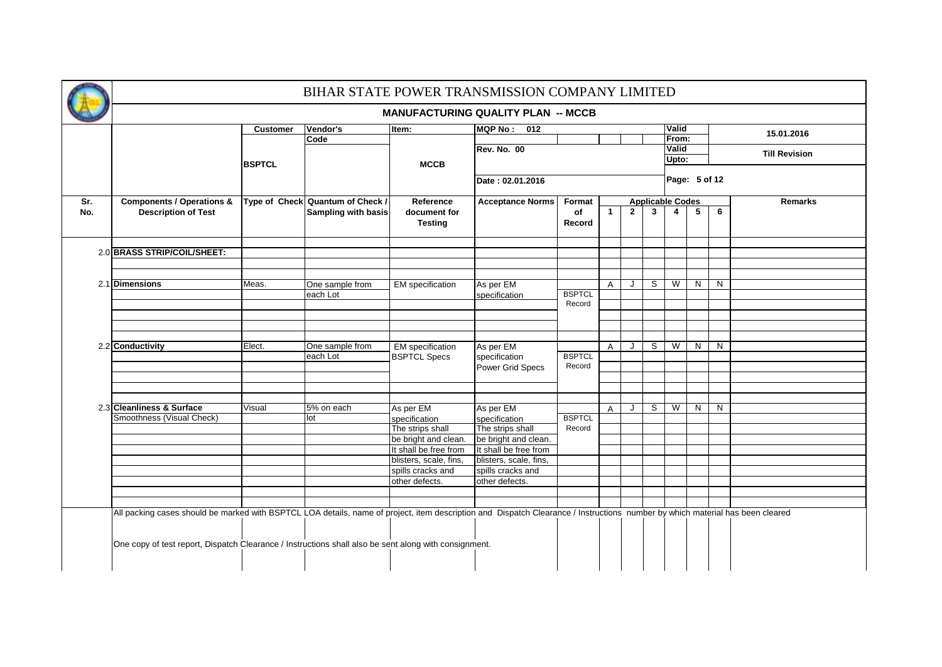|     |                                                                                                                                                                               |                 | BIHAR STATE POWER TRANSMISSION COMPANY LIMITED |                                          |                                           |                         |              |             |              |                         |   |   |                      |
|-----|-------------------------------------------------------------------------------------------------------------------------------------------------------------------------------|-----------------|------------------------------------------------|------------------------------------------|-------------------------------------------|-------------------------|--------------|-------------|--------------|-------------------------|---|---|----------------------|
|     |                                                                                                                                                                               |                 |                                                |                                          | <b>MANUFACTURING QUALITY PLAN -- MCCB</b> |                         |              |             |              |                         |   |   |                      |
|     |                                                                                                                                                                               | <b>Customer</b> | Vendor's                                       | Item:                                    | MQP No: 012                               |                         |              |             |              | Valid                   |   |   |                      |
|     |                                                                                                                                                                               |                 | Code                                           |                                          |                                           |                         |              |             |              | From:                   |   |   | 15.01.2016           |
|     |                                                                                                                                                                               |                 |                                                |                                          | Rev. No. 00                               |                         |              |             |              | Valid                   |   |   | <b>Till Revision</b> |
|     |                                                                                                                                                                               | <b>BSPTCL</b>   |                                                | <b>MCCB</b>                              |                                           |                         |              |             |              | Upto:                   |   |   |                      |
|     |                                                                                                                                                                               |                 |                                                |                                          | Date: 02.01.2016                          |                         |              |             |              | Page: 5 of 12           |   |   |                      |
| Sr. | <b>Components / Operations &amp;</b>                                                                                                                                          |                 | Type of Check Quantum of Check /               | Reference                                | <b>Acceptance Norms</b>                   | Format                  |              |             |              | <b>Applicable Codes</b> |   |   | <b>Remarks</b>       |
| No. | <b>Description of Test</b>                                                                                                                                                    |                 | Sampling with basis                            | document for<br><b>Testing</b>           |                                           | of<br>Record            | 1            | $2^{\circ}$ | $\mathbf{3}$ | $\overline{4}$          | 5 | 6 |                      |
|     | 2.0 BRASS STRIP/COIL/SHEET:                                                                                                                                                   |                 |                                                |                                          |                                           |                         |              |             |              |                         |   |   |                      |
|     |                                                                                                                                                                               |                 |                                                |                                          |                                           |                         |              |             |              |                         |   |   |                      |
|     |                                                                                                                                                                               |                 |                                                |                                          |                                           |                         |              |             |              |                         |   |   |                      |
|     | 2.1 Dimensions                                                                                                                                                                | Meas.           | One sample from                                | <b>EM</b> specification                  | As per EM                                 |                         | $\mathsf{A}$ | J           | S            | $\overline{\mathsf{w}}$ | N | N |                      |
|     |                                                                                                                                                                               |                 | each Lot                                       |                                          | specification                             | <b>BSPTCL</b><br>Record |              |             |              |                         |   |   |                      |
|     |                                                                                                                                                                               |                 |                                                |                                          |                                           |                         |              |             |              |                         |   |   |                      |
|     |                                                                                                                                                                               |                 |                                                |                                          |                                           |                         |              |             |              |                         |   |   |                      |
|     |                                                                                                                                                                               |                 |                                                |                                          |                                           |                         |              |             |              |                         |   |   |                      |
|     | 2.2 Conductivity                                                                                                                                                              | Elect.          | One sample from                                | <b>EM</b> specification                  | As per EM                                 |                         | $\mathsf{A}$ | J           | S            | W                       | N | N |                      |
|     |                                                                                                                                                                               |                 | each Lot                                       | <b>BSPTCL Specs</b>                      | specification                             | <b>BSPTCL</b>           |              |             |              |                         |   |   |                      |
|     |                                                                                                                                                                               |                 |                                                |                                          | Power Grid Specs                          | Record                  |              |             |              |                         |   |   |                      |
|     |                                                                                                                                                                               |                 |                                                |                                          |                                           |                         |              |             |              |                         |   |   |                      |
|     |                                                                                                                                                                               |                 |                                                |                                          |                                           |                         |              |             |              |                         |   |   |                      |
|     |                                                                                                                                                                               |                 |                                                |                                          |                                           |                         |              |             |              |                         |   |   |                      |
|     | 2.3 Cleanliness & Surface                                                                                                                                                     | Visual          | $\overline{5\%}$ on each                       | As per EM                                | As per EM                                 |                         | $\mathsf{A}$ | J           | S            | W                       | N | N |                      |
|     | Smoothness (Visual Check)                                                                                                                                                     |                 | lot                                            | specification                            | specification                             | <b>BSPTCL</b>           |              |             |              |                         |   |   |                      |
|     |                                                                                                                                                                               |                 |                                                | The strips shall<br>be bright and clean. | The strips shall<br>be bright and clean.  | Record                  |              |             |              |                         |   |   |                      |
|     |                                                                                                                                                                               |                 |                                                | It shall be free from                    | It shall be free from                     |                         |              |             |              |                         |   |   |                      |
|     |                                                                                                                                                                               |                 |                                                | blisters, scale, fins,                   | blisters, scale, fins,                    |                         |              |             |              |                         |   |   |                      |
|     |                                                                                                                                                                               |                 |                                                | spills cracks and                        | spills cracks and                         |                         |              |             |              |                         |   |   |                      |
|     |                                                                                                                                                                               |                 |                                                | other defects.                           | other defects.                            |                         |              |             |              |                         |   |   |                      |
|     |                                                                                                                                                                               |                 |                                                |                                          |                                           |                         |              |             |              |                         |   |   |                      |
|     |                                                                                                                                                                               |                 |                                                |                                          |                                           |                         |              |             |              |                         |   |   |                      |
|     | All packing cases should be marked with BSPTCL LOA details, name of project, item description and Dispatch Clearance / Instructions number by which material has been cleared |                 |                                                |                                          |                                           |                         |              |             |              |                         |   |   |                      |
|     |                                                                                                                                                                               |                 |                                                |                                          |                                           |                         |              |             |              |                         |   |   |                      |
|     | One copy of test report, Dispatch Clearance / Instructions shall also be sent along with consignment.                                                                         |                 |                                                |                                          |                                           |                         |              |             |              |                         |   |   |                      |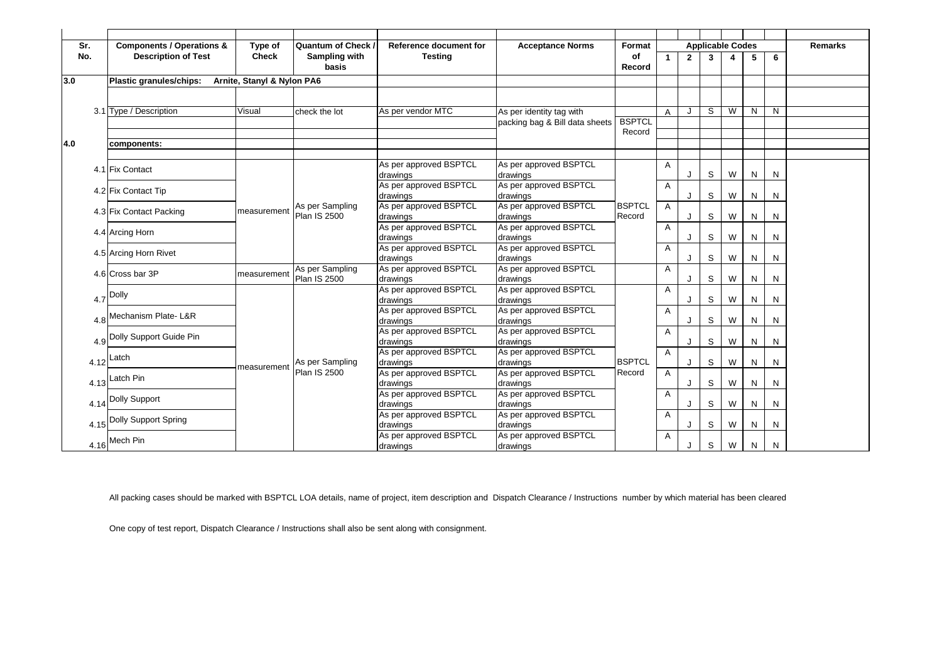| Sr. |      | <b>Components / Operations &amp;</b> | Type of                    | Quantum of Check /  | Reference document for             | <b>Acceptance Norms</b>            | Format        |             |              |              | <b>Applicable Codes</b> |   |   | <b>Remarks</b> |
|-----|------|--------------------------------------|----------------------------|---------------------|------------------------------------|------------------------------------|---------------|-------------|--------------|--------------|-------------------------|---|---|----------------|
| No. |      | <b>Description of Test</b>           | <b>Check</b>               | Sampling with       | <b>Testing</b>                     |                                    | of            | $\mathbf 1$ | $\mathbf{2}$ | $\mathbf{3}$ |                         | 5 | 6 |                |
|     |      |                                      |                            | basis               |                                    |                                    | Record        |             |              |              |                         |   |   |                |
| 3.0 |      | Plastic granules/chips:              | Arnite, Stanyl & Nylon PA6 |                     |                                    |                                    |               |             |              |              |                         |   |   |                |
|     |      |                                      |                            |                     |                                    |                                    |               |             |              |              |                         |   |   |                |
|     |      |                                      |                            |                     |                                    |                                    |               |             |              |              |                         |   |   |                |
|     |      | 3.1 Type / Description               | Visual                     | check the lot       | As per vendor MTC                  | As per identity tag with           |               | A           | J            | S            | W                       | N | N |                |
|     |      |                                      |                            |                     |                                    | packing bag & Bill data sheets     | <b>BSPTCL</b> |             |              |              |                         |   |   |                |
| 4.0 |      |                                      |                            |                     |                                    |                                    | Record        |             |              |              |                         |   |   |                |
|     |      | components:                          |                            |                     |                                    |                                    |               |             |              |              |                         |   |   |                |
|     |      |                                      |                            |                     | As per approved BSPTCL             | As per approved BSPTCL             |               | A           |              |              |                         |   |   |                |
|     |      | 4.1 Fix Contact                      |                            |                     | drawings                           | drawings                           |               |             | J            | S            | W                       | N | N |                |
|     |      |                                      |                            |                     | As per approved BSPTCL             | As per approved BSPTCL             |               | Α           |              |              |                         |   |   |                |
|     |      | 4.2 Fix Contact Tip                  |                            |                     | drawings                           | drawings                           |               |             | J            | S            | W                       | N | N |                |
|     |      | 4.3 Fix Contact Packing              | measurement                | As per Sampling     | As per approved BSPTCL             | As per approved BSPTCL             | <b>BSPTCL</b> | A           |              |              |                         |   |   |                |
|     |      |                                      |                            | <b>Plan IS 2500</b> | drawings                           | drawings                           | Record        |             | J            | S            | W                       | N | N |                |
|     |      | 4.4 Arcing Horn                      |                            |                     | As per approved BSPTCL             | As per approved BSPTCL             |               | Α           |              |              |                         |   |   |                |
|     |      |                                      |                            |                     | drawings                           | drawings                           |               |             | J            | S            | W                       | N | N |                |
|     |      | 4.5 Arcing Horn Rivet                |                            |                     | As per approved BSPTCL             | As per approved BSPTCL             |               | A           |              |              |                         |   |   |                |
|     |      |                                      |                            | As per Sampling     | drawings<br>As per approved BSPTCL | drawings<br>As per approved BSPTCL |               |             |              | S            | W                       | N | N |                |
|     |      | 4.6 Cross bar 3P                     | measurement                | Plan IS 2500        | drawings                           | drawings                           |               | A           | J            | S            | W                       | N | N |                |
|     |      |                                      |                            |                     | As per approved BSPTCL             | As per approved BSPTCL             |               | Α           |              |              |                         |   |   |                |
|     | 4.7  | Dolly                                |                            |                     | drawings                           | drawings                           |               |             | J            | S            | W                       | N | N |                |
|     |      |                                      |                            |                     | As per approved BSPTCL             | As per approved BSPTCL             |               | Α           |              |              |                         |   |   |                |
|     | 4.8  | Mechanism Plate- L&R                 |                            |                     | drawings                           | drawings                           |               |             | J            | S            | W                       | N | N |                |
|     |      |                                      |                            |                     | As per approved BSPTCL             | As per approved BSPTCL             |               | Α           |              |              |                         |   |   |                |
|     | 4.9  | Dolly Support Guide Pin              |                            |                     | drawings                           | drawings                           |               |             | J            | S            | W                       | N | N |                |
|     |      | Latch                                |                            |                     | As per approved BSPTCL             | As per approved BSPTCL             |               | Α           |              |              |                         |   |   |                |
|     | 4.12 |                                      | measurement                | As per Sampling     | drawings                           | drawings                           | <b>BSPTCL</b> |             | J            | S            | W                       | N | N |                |
|     |      | Latch Pin                            |                            | <b>Plan IS 2500</b> | As per approved BSPTCL             | As per approved BSPTCL             | Record        | Α           |              |              |                         |   |   |                |
|     | 4.13 |                                      |                            |                     | drawings                           | drawings                           |               |             | J            | S            | W                       | N | N |                |
|     | 4.14 | Dolly Support                        |                            |                     | As per approved BSPTCL<br>drawings | As per approved BSPTCL<br>drawings |               | A           | J            | S            | W                       | N | N |                |
|     |      |                                      |                            |                     | As per approved BSPTCL             | As per approved BSPTCL             |               | A           |              |              |                         |   |   |                |
|     | 4.15 | Dolly Support Spring                 |                            |                     | drawings                           | drawings                           |               |             | J            | S            | W                       | N | N |                |
|     |      |                                      |                            |                     | As per approved BSPTCL             | As per approved BSPTCL             |               | Α           |              |              |                         |   |   |                |
|     |      | $4.16$ <sup>Mech Pin</sup>           |                            |                     | drawings                           | drawings                           |               |             | J            | S            | W                       | N | N |                |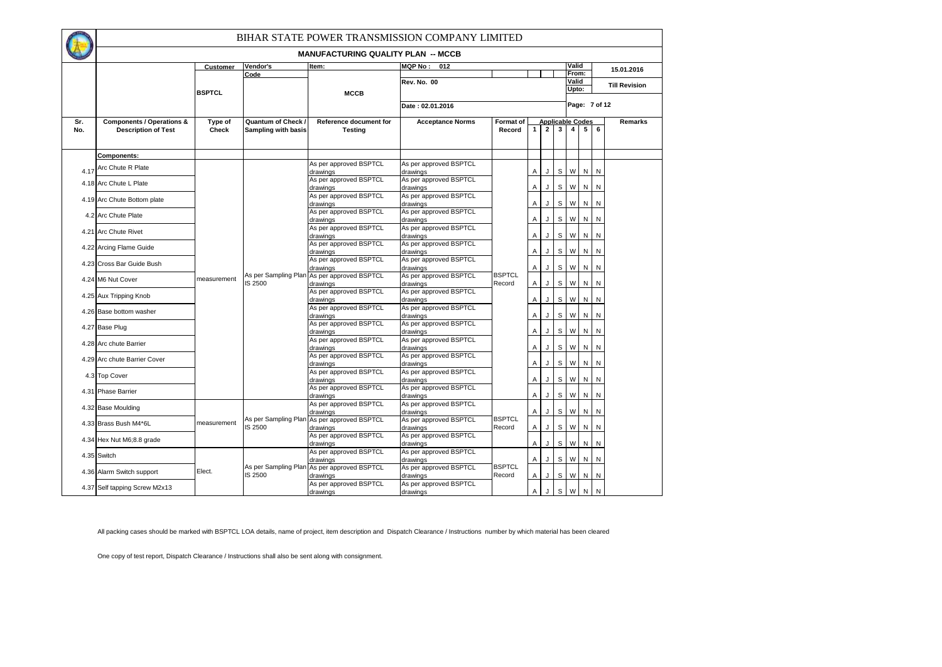|            |                                                                    |                  |                                                  |                                                 | BIHAR STATE POWER TRANSMISSION COMPANY LIMITED |                         |              |                                           |                |                |              |                |                      |
|------------|--------------------------------------------------------------------|------------------|--------------------------------------------------|-------------------------------------------------|------------------------------------------------|-------------------------|--------------|-------------------------------------------|----------------|----------------|--------------|----------------|----------------------|
|            |                                                                    |                  |                                                  | <b>MANUFACTURING QUALITY PLAN -- MCCB</b>       |                                                |                         |              |                                           |                |                |              |                |                      |
|            |                                                                    | Customer         | Vendor's                                         | Item:                                           | <b>MQP No :</b><br>012                         |                         |              |                                           |                | Valid          |              |                | 15.01.2016           |
|            |                                                                    |                  | Code                                             |                                                 |                                                |                         |              |                                           |                | From:          |              |                |                      |
|            |                                                                    |                  |                                                  |                                                 | <b>Rev. No. 00</b>                             |                         |              |                                           |                | Valid<br>Upto: |              |                | <b>Till Revision</b> |
|            |                                                                    | <b>BSPTCL</b>    |                                                  | <b>MCCB</b>                                     |                                                |                         |              |                                           |                |                |              |                |                      |
|            |                                                                    |                  |                                                  |                                                 | Date: 02.01.2016                               |                         |              |                                           |                | Page: 7 of 12  |              |                |                      |
|            |                                                                    |                  |                                                  |                                                 |                                                |                         |              |                                           |                |                |              |                |                      |
| Sr.<br>No. | <b>Components / Operations &amp;</b><br><b>Description of Test</b> | Type of<br>Check | Quantum of Check /<br><b>Sampling with basis</b> | <b>Reference document for</b><br><b>Testing</b> | <b>Acceptance Norms</b>                        | Format of<br>Record     | $\mathbf{1}$ | <b>Applicable Codes</b><br>$\overline{2}$ | 3 <sup>1</sup> | $\overline{4}$ | $5^{\circ}$  | $6\phantom{a}$ | Remarks              |
|            |                                                                    |                  |                                                  |                                                 |                                                |                         |              |                                           |                |                |              |                |                      |
|            |                                                                    |                  |                                                  |                                                 |                                                |                         |              |                                           |                |                |              |                |                      |
|            | Components:                                                        |                  |                                                  |                                                 |                                                |                         |              |                                           |                |                |              |                |                      |
|            | Arc Chute R Plate                                                  |                  |                                                  | As per approved BSPTCL                          | As per approved BSPTCL                         |                         |              |                                           |                |                | N N          |                |                      |
| 4.17       |                                                                    |                  |                                                  | drawings<br>As per approved BSPTCL              | drawings<br>As per approved BSPTCL             |                         | A            | J                                         |                | S W            |              |                |                      |
|            | 4.18 Arc Chute L Plate                                             |                  |                                                  | drawings                                        | drawings                                       |                         | Α            | J                                         |                | S W            | N            | N              |                      |
|            | 4.19 Arc Chute Bottom plate                                        |                  |                                                  | As per approved BSPTCL                          | As per approved BSPTCL                         |                         |              |                                           |                |                |              |                |                      |
|            |                                                                    |                  |                                                  | drawings                                        | drawings                                       |                         | Α            | J                                         | S              | W              | ${\sf N}$    | ${\sf N}$      |                      |
|            | 4.2 Arc Chute Plate                                                |                  |                                                  | As per approved BSPTCL                          | As per approved BSPTCL                         |                         | Α            | J.                                        | S              | W              | N            | ${\sf N}$      |                      |
|            |                                                                    |                  |                                                  | drawings<br>As per approved BSPTCL              | drawings<br>As per approved BSPTCL             |                         |              |                                           |                |                |              |                |                      |
|            | 4.21 Arc Chute Rivet                                               |                  |                                                  | drawings                                        | drawings                                       |                         | A            | J                                         | $\mathsf{s}$   | W              | $\mathsf{N}$ | N              |                      |
|            | 4.22 Arcing Flame Guide                                            |                  |                                                  | As per approved BSPTCL                          | As per approved BSPTCL                         |                         |              |                                           |                |                |              |                |                      |
|            |                                                                    |                  |                                                  | drawings                                        | drawings                                       |                         | Α            | J                                         | $\mathsf{s}$   | W              | $\mathsf{N}$ | $\mathsf{N}$   |                      |
|            | 4.23 Cross Bar Guide Bush                                          |                  |                                                  | As per approved BSPTCL<br>drawings              | As per approved BSPTCL<br>drawings             |                         | A            | J                                         |                | S W            | N            | N              |                      |
|            |                                                                    |                  | As per Sampling Plan                             | As per approved BSPTCL                          | As per approved BSPTCL                         | <b>BSPTCL</b>           |              |                                           |                |                |              |                |                      |
|            | 4.24 M6 Nut Cover                                                  | measurement      | IS 2500                                          | drawings                                        | drawings                                       | Record                  | A            | J                                         | S              | W              | N            | N              |                      |
|            | 4.25 Aux Tripping Knob                                             |                  |                                                  | As per approved BSPTCL                          | As per approved BSPTCL                         |                         |              |                                           |                |                |              |                |                      |
|            |                                                                    |                  |                                                  | drawings<br>As per approved BSPTCL              | drawings<br>As per approved BSPTCL             |                         | A            | J                                         |                | S W            | N            | N              |                      |
|            | 4.26 Base bottom washer                                            |                  |                                                  | drawings                                        | drawings                                       |                         | Α            | J                                         |                | S W            | N            | N              |                      |
|            | 4.27 Base Plug                                                     |                  |                                                  | As per approved BSPTCL                          | As per approved BSPTCL                         |                         |              |                                           |                |                |              |                |                      |
|            |                                                                    |                  |                                                  | drawings                                        | drawings                                       |                         | Α            | J                                         |                | S W            | $\mathsf{N}$ | N              |                      |
|            | 4.28 Arc chute Barrier                                             |                  |                                                  | As per approved BSPTCL                          | As per approved BSPTCL                         |                         | Α            | J                                         | $\mathsf{s}$   | W              | $\mathsf{N}$ | N              |                      |
|            |                                                                    |                  |                                                  | drawings<br>As per approved BSPTCL              | drawings<br>As per approved BSPTCL             |                         |              |                                           |                |                |              |                |                      |
|            | 4.29 Arc chute Barrier Cover                                       |                  |                                                  | drawings                                        | drawings                                       |                         | Α            | J                                         | $\mathsf{s}$   | W              | N            | N              |                      |
|            | 4.3 Top Cover                                                      |                  |                                                  | As per approved BSPTCL                          | As per approved BSPTCL                         |                         |              |                                           |                |                |              |                |                      |
|            |                                                                    |                  |                                                  | drawings                                        | drawings                                       |                         | Α            | J                                         | S              | W              | N            | N              |                      |
| 4.31       | <b>Phase Barrier</b>                                               |                  |                                                  | As per approved BSPTCL<br>drawings              | As per approved BSPTCL<br>drawings             |                         | A            | J                                         | S              | W              | N            | $\mathsf{N}$   |                      |
|            |                                                                    |                  |                                                  | As per approved BSPTCL                          | As per approved BSPTCL                         |                         |              |                                           |                |                |              |                |                      |
|            | 4.32 Base Moulding                                                 |                  |                                                  | drawings                                        | drawings                                       |                         | A            | J                                         | $\mathsf{s}$   | W              | N            | ${\sf N}$      |                      |
|            | 4.33 Brass Bush M4*6L                                              | measurement      | As per Sampling Plan                             | As per approved BSPTCL                          | As per approved BSPTCL                         | <b>BSPTCL</b>           |              |                                           |                |                |              |                |                      |
|            |                                                                    |                  | <b>IS 2500</b>                                   | drawings<br>As per approved BSPTCL              | drawings<br>As per approved BSPTCL             | Record                  | A            | J                                         | $\mathsf{s}$   | W              | N            | N              |                      |
|            | 4.34 Hex Nut M6;8.8 grade                                          |                  |                                                  | drawings                                        | drawings                                       |                         | Α            | J.                                        |                | S W            | N            | N              |                      |
|            | 4.35 Switch                                                        |                  |                                                  | As per approved BSPTCL                          | As per approved BSPTCL                         |                         |              |                                           |                |                |              |                |                      |
|            |                                                                    |                  |                                                  | drawings                                        | drawings                                       |                         | A            | J                                         |                | S W            | N            | N              |                      |
|            | 4.36 Alarm Switch support                                          | Elect.           | As per Sampling Plan<br>IS 2500                  | As per approved BSPTCL                          | As per approved BSPTCL<br>drawings             | <b>BSPTCL</b><br>Record | A            | J                                         |                | S W            | N N          |                |                      |
|            |                                                                    |                  |                                                  | drawings<br>As per approved BSPTCL              | As per approved BSPTCL                         |                         |              |                                           |                |                |              |                |                      |
|            | 4.37 Self tapping Screw M2x13                                      |                  |                                                  | drawings                                        | drawings                                       |                         | A            | J                                         |                | S W            | N            | N              |                      |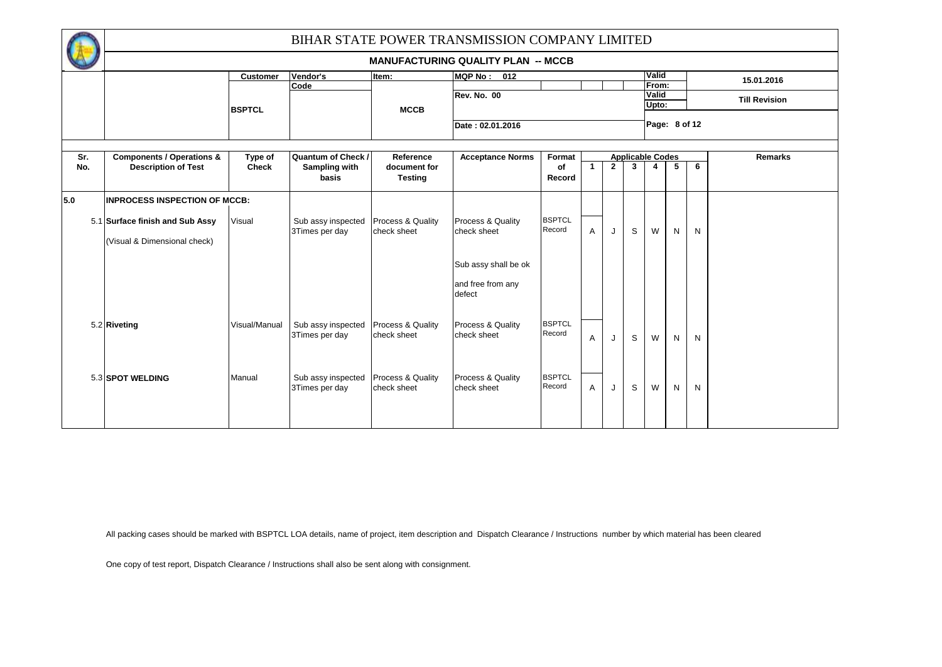|     |                                      |                 |                                      |                                             | BIHAR STATE POWER TRANSMISSION COMPANY LIMITED |                         |                |              |   |                         |   |   |                      |
|-----|--------------------------------------|-----------------|--------------------------------------|---------------------------------------------|------------------------------------------------|-------------------------|----------------|--------------|---|-------------------------|---|---|----------------------|
|     |                                      |                 |                                      |                                             | <b>MANUFACTURING QUALITY PLAN -- MCCB</b>      |                         |                |              |   |                         |   |   |                      |
|     |                                      | <b>Customer</b> | Vendor's                             | Item:                                       | <b>MQP No:</b><br>012                          |                         |                |              |   | Valid                   |   |   | 15.01.2016           |
|     |                                      | <b>BSPTCL</b>   | Code                                 | <b>MCCB</b>                                 | <b>Rev. No. 00</b>                             |                         |                |              |   | From:<br>Valid<br>Upto: |   |   | <b>Till Revision</b> |
|     |                                      |                 |                                      |                                             | Date: 02.01.2016                               |                         |                |              |   | Page: 8 of 12           |   |   |                      |
| Sr. | <b>Components / Operations &amp;</b> | Type of         | <b>Quantum of Check /</b>            | Reference                                   | <b>Acceptance Norms</b>                        | Format                  |                |              |   | <b>Applicable Codes</b> |   |   | <b>Remarks</b>       |
| No. | <b>Description of Test</b>           | <b>Check</b>    | Sampling with<br>basis               | document for<br><b>Testing</b>              |                                                | of<br>Record            | $\mathbf{1}$   | $\mathbf{2}$ | 3 | 4                       | 5 | 6 |                      |
| 5.0 | <b>INPROCESS INSPECTION OF MCCB:</b> |                 |                                      |                                             |                                                |                         |                |              |   |                         |   |   |                      |
|     | 5.1 Surface finish and Sub Assy      | Visual          | Sub assy inspected<br>3Times per day | Process & Quality<br>check sheet            | Process & Quality<br>check sheet               | <b>BSPTCL</b><br>Record | $\overline{A}$ | J            | S | W                       | N | N |                      |
|     | (Visual & Dimensional check)         |                 |                                      |                                             |                                                |                         |                |              |   |                         |   |   |                      |
|     |                                      |                 |                                      |                                             | Sub assy shall be ok                           |                         |                |              |   |                         |   |   |                      |
|     |                                      |                 |                                      |                                             | and free from any<br>defect                    |                         |                |              |   |                         |   |   |                      |
|     | 5.2 Riveting                         | Visual/Manual   | Sub assy inspected                   | <b>Process &amp; Quality</b>                | <b>Process &amp; Quality</b>                   | <b>BSPTCL</b>           |                |              |   |                         |   |   |                      |
|     |                                      |                 | 3Times per day                       | check sheet                                 | check sheet                                    | Record                  | $\overline{A}$ | J            | S | W                       | N | N |                      |
|     |                                      |                 |                                      |                                             |                                                | <b>BSPTCL</b>           |                |              |   |                         |   |   |                      |
|     | 5.3 SPOT WELDING                     | Manual          | Sub assy inspected<br>3Times per day | <b>Process &amp; Quality</b><br>check sheet | <b>Process &amp; Quality</b><br>check sheet    | Record                  | $\overline{A}$ | J            | S | W                       | N | N |                      |
|     |                                      |                 |                                      |                                             |                                                |                         |                |              |   |                         |   |   |                      |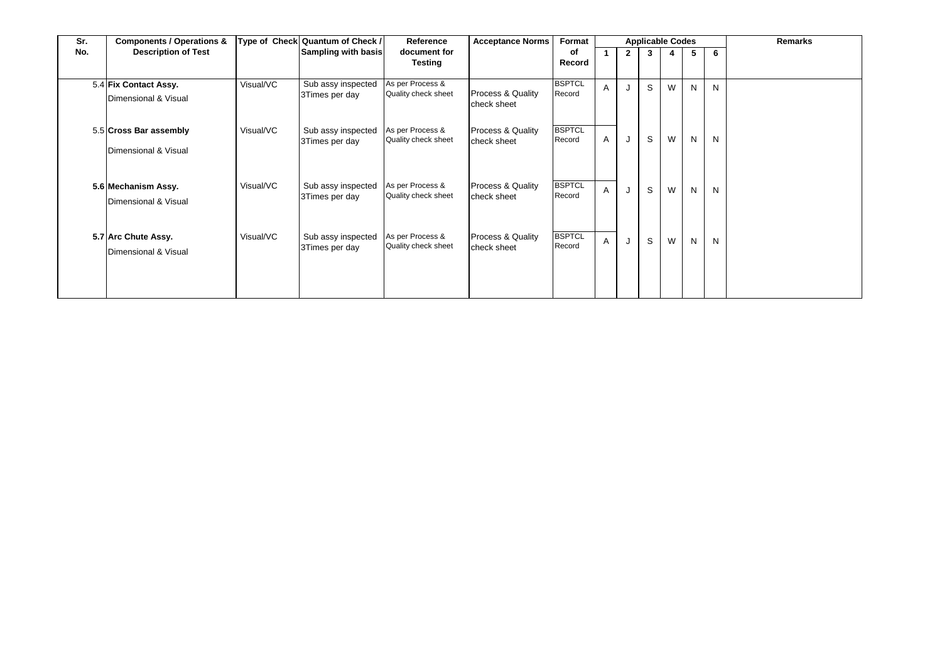| Sr. | <b>Components / Operations &amp;</b>           |           | Type of Check Quantum of Check /     | Reference                               | <b>Acceptance Norms</b>                     | Format                  |   |              | <b>Applicable Codes</b> |   |   |   | Remarks |
|-----|------------------------------------------------|-----------|--------------------------------------|-----------------------------------------|---------------------------------------------|-------------------------|---|--------------|-------------------------|---|---|---|---------|
| No. | <b>Description of Test</b>                     |           | Sampling with basis                  | document for<br><b>Testing</b>          |                                             | οf<br>Record            |   | $\mathbf{2}$ | 3                       |   | 5 | 6 |         |
|     | 5.4 Fix Contact Assy.<br>Dimensional & Visual  | Visual/VC | Sub assy inspected<br>3Times per day | As per Process &<br>Quality check sheet | <b>Process &amp; Quality</b><br>check sheet | <b>BSPTCL</b><br>Record | A |              | S                       | W | N | N |         |
|     | 5.5 Cross Bar assembly<br>Dimensional & Visual | Visual/VC | Sub assy inspected<br>3Times per day | As per Process &<br>Quality check sheet | Process & Quality<br>check sheet            | <b>BSPTCL</b><br>Record | A | J            | S                       | W | N | N |         |
|     | 5.6 Mechanism Assy.<br>Dimensional & Visual    | Visual/VC | Sub assy inspected<br>3Times per day | As per Process &<br>Quality check sheet | Process & Quality<br>check sheet            | <b>BSPTCL</b><br>Record | A | J            | S                       | W | N | N |         |
|     | 5.7 Arc Chute Assy.<br>Dimensional & Visual    | Visual/VC | Sub assy inspected<br>3Times per day | As per Process &<br>Quality check sheet | Process & Quality<br>check sheet            | <b>BSPTCL</b><br>Record | A | J            | S                       | W | N | N |         |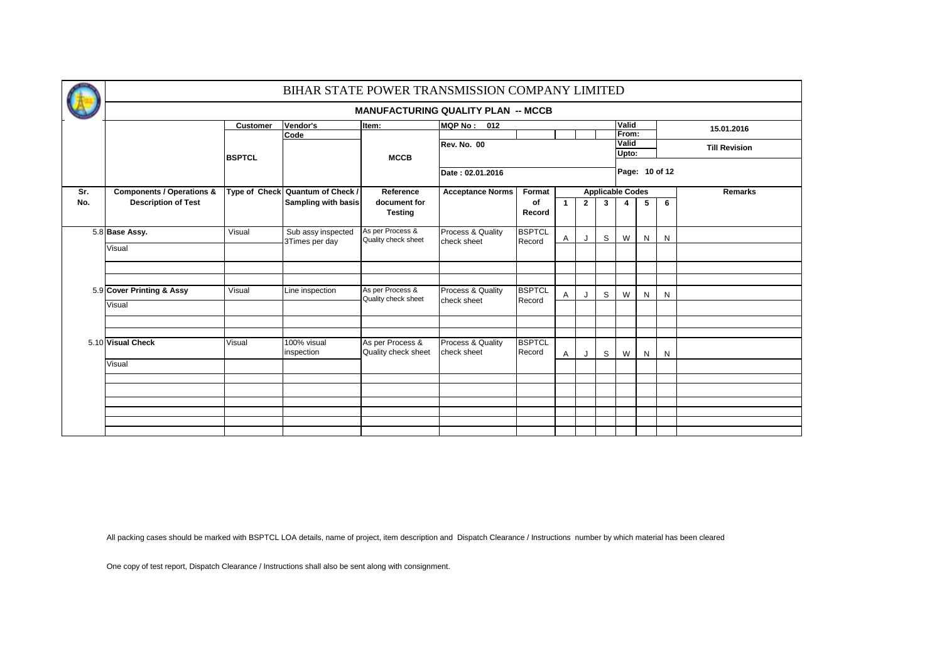|     |                                      |                 | BIHAR STATE POWER TRANSMISSION COMPANY LIMITED |                                         |                                           |                         |              |             |   |                         |   |                |                      |
|-----|--------------------------------------|-----------------|------------------------------------------------|-----------------------------------------|-------------------------------------------|-------------------------|--------------|-------------|---|-------------------------|---|----------------|----------------------|
|     |                                      |                 |                                                |                                         | <b>MANUFACTURING QUALITY PLAN -- MCCB</b> |                         |              |             |   |                         |   |                |                      |
|     |                                      | <b>Customer</b> | Vendor's                                       | Item:                                   | MQP No: 012                               |                         |              |             |   | Valid                   |   |                | 15.01.2016           |
|     |                                      |                 | Code                                           |                                         |                                           |                         |              |             |   | From:<br><b>Valid</b>   |   |                |                      |
|     |                                      |                 |                                                |                                         | <b>Rev. No. 00</b>                        |                         |              |             |   | Upto:                   |   |                | <b>Till Revision</b> |
|     |                                      | <b>BSPTCL</b>   |                                                | <b>MCCB</b>                             |                                           |                         |              |             |   |                         |   |                |                      |
|     |                                      |                 |                                                |                                         | Date: 02.01.2016                          |                         |              |             |   |                         |   | Page: 10 of 12 |                      |
| Sr. | <b>Components / Operations &amp;</b> |                 | Type of Check Quantum of Check /               | Reference                               | <b>Acceptance Norms</b>                   | Format                  |              |             |   | <b>Applicable Codes</b> |   |                | <b>Remarks</b>       |
| No. | <b>Description of Test</b>           |                 | <b>Sampling with basis</b>                     | document for<br><b>Testing</b>          |                                           | of<br>Record            | $\mathbf{1}$ | $2^{\circ}$ | 3 | 4                       | 5 | 6              |                      |
|     | 5.8 Base Assy.                       | Visual          | Sub assy inspected<br>3Times per day           | As per Process &<br>Quality check sheet | Process & Quality<br>check sheet          | <b>BSPTCL</b><br>Record | Α            | J           | S | W                       | N | N              |                      |
|     | Visual                               |                 |                                                |                                         |                                           |                         |              |             |   |                         |   |                |                      |
|     |                                      |                 |                                                |                                         |                                           |                         |              |             |   |                         |   |                |                      |
|     |                                      |                 |                                                |                                         |                                           |                         |              |             |   |                         |   |                |                      |
|     | 5.9 Cover Printing & Assy            | Visual          | Line inspection                                | As per Process &<br>Quality check sheet | Process & Quality                         | <b>BSPTCL</b>           | Α            | J           | S | W                       | N | N              |                      |
|     | Visual                               |                 |                                                |                                         | check sheet                               | Record                  |              |             |   |                         |   |                |                      |
|     |                                      |                 |                                                |                                         |                                           |                         |              |             |   |                         |   |                |                      |
|     | 5.10 Visual Check                    | Visual          | 100% visual<br>inspection                      | As per Process &<br>Quality check sheet | Process & Quality<br>check sheet          | <b>BSPTCL</b><br>Record | A            | J           | S | W                       | N | N              |                      |
|     | Visual                               |                 |                                                |                                         |                                           |                         |              |             |   |                         |   |                |                      |
|     |                                      |                 |                                                |                                         |                                           |                         |              |             |   |                         |   |                |                      |
|     |                                      |                 |                                                |                                         |                                           |                         |              |             |   |                         |   |                |                      |
|     |                                      |                 |                                                |                                         |                                           |                         |              |             |   |                         |   |                |                      |
|     |                                      |                 |                                                |                                         |                                           |                         |              |             |   |                         |   |                |                      |
|     |                                      |                 |                                                |                                         |                                           |                         |              |             |   |                         |   |                |                      |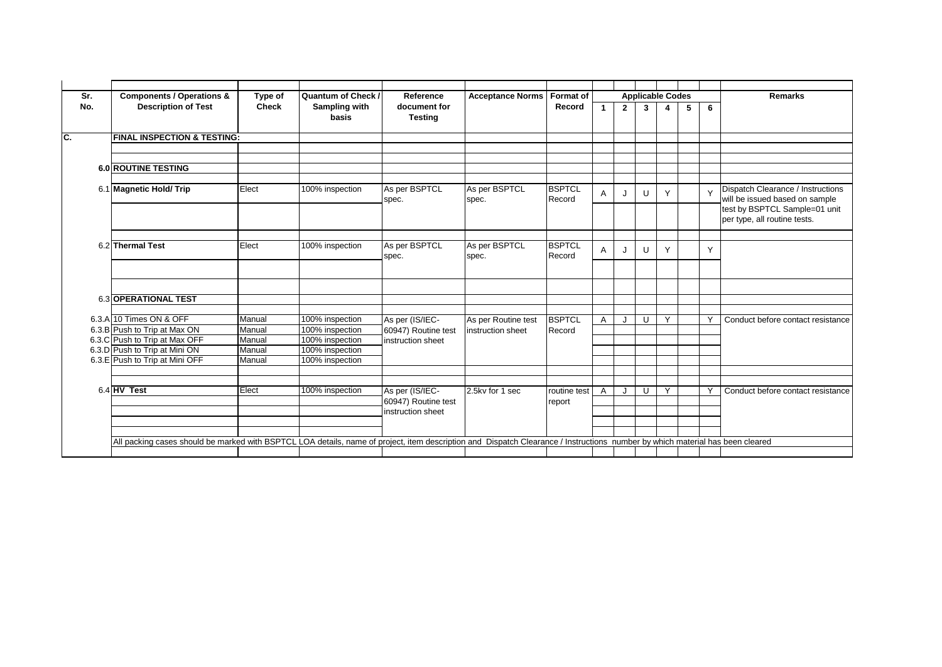| Sr.      | <b>Components / Operations &amp;</b>                                                                                                                                          | Type of      | Quantum of Check /     | Reference                              | <b>Acceptance Norms</b>                  | <b>Format of</b>        |              |                | <b>Applicable Codes</b> |                         |   |        | <b>Remarks</b>                                                      |
|----------|-------------------------------------------------------------------------------------------------------------------------------------------------------------------------------|--------------|------------------------|----------------------------------------|------------------------------------------|-------------------------|--------------|----------------|-------------------------|-------------------------|---|--------|---------------------------------------------------------------------|
| No.      | <b>Description of Test</b>                                                                                                                                                    | <b>Check</b> | Sampling with<br>basis | document for<br><b>Testing</b>         |                                          | Record                  | $\mathbf{1}$ | $\overline{2}$ | $\mathbf{3}$            | $\overline{\mathbf{4}}$ | 5 | 6      |                                                                     |
| <u>.</u> | <b>FINAL INSPECTION &amp; TESTING:</b>                                                                                                                                        |              |                        |                                        |                                          |                         |              |                |                         |                         |   |        |                                                                     |
|          |                                                                                                                                                                               |              |                        |                                        |                                          |                         |              |                |                         |                         |   |        |                                                                     |
|          |                                                                                                                                                                               |              |                        |                                        |                                          |                         |              |                |                         |                         |   |        |                                                                     |
|          | <b>6.0 ROUTINE TESTING</b>                                                                                                                                                    |              |                        |                                        |                                          |                         |              |                |                         |                         |   |        |                                                                     |
|          |                                                                                                                                                                               |              |                        |                                        |                                          |                         |              |                |                         |                         |   |        |                                                                     |
|          | 6.1 Magnetic Hold/ Trip                                                                                                                                                       | Elect        | 100% inspection        | As per BSPTCL<br>spec.                 | As per BSPTCL<br>spec.                   | <b>BSPTCL</b><br>Record | $\mathsf{A}$ | J              | U                       | Y                       |   | $\vee$ | Dispatch Clearance / Instructions<br>will be issued based on sample |
|          |                                                                                                                                                                               |              |                        |                                        |                                          |                         |              |                |                         |                         |   |        | test by BSPTCL Sample=01 unit<br>per type, all routine tests.       |
|          |                                                                                                                                                                               |              |                        |                                        |                                          |                         |              |                |                         |                         |   |        |                                                                     |
|          | 6.2 Thermal Test                                                                                                                                                              | Elect        | 100% inspection        | As per BSPTCL<br>spec.                 | As per BSPTCL<br>spec.                   | <b>BSPTCL</b><br>Record | $\mathsf{A}$ | IJ             | $\cup$                  | Y                       |   | Y      |                                                                     |
|          |                                                                                                                                                                               |              |                        |                                        |                                          |                         |              |                |                         |                         |   |        |                                                                     |
|          |                                                                                                                                                                               |              |                        |                                        |                                          |                         |              |                |                         |                         |   |        |                                                                     |
|          | 6.3 OPERATIONAL TEST                                                                                                                                                          |              |                        |                                        |                                          |                         |              |                |                         |                         |   |        |                                                                     |
|          | 6.3.A 10 Times ON & OFF                                                                                                                                                       | Manual       | 100% inspection        |                                        |                                          | <b>BSPTCL</b>           |              |                |                         | Y                       |   | Υ      | Conduct before contact resistance                                   |
|          | 6.3.B Push to Trip at Max ON                                                                                                                                                  | Manual       | 100% inspection        | As per (IS/IEC-<br>60947) Routine test | As per Routine test<br>instruction sheet | Record                  | $\mathsf{A}$ | J              | U                       |                         |   |        |                                                                     |
|          | 6.3.C Push to Trip at Max OFF                                                                                                                                                 | Manual       | 100% inspection        | instruction sheet                      |                                          |                         |              |                |                         |                         |   |        |                                                                     |
|          | 6.3.D Push to Trip at Mini ON                                                                                                                                                 | Manual       | 100% inspection        |                                        |                                          |                         |              |                |                         |                         |   |        |                                                                     |
|          | 6.3.E Push to Trip at Mini OFF                                                                                                                                                | Manual       | 100% inspection        |                                        |                                          |                         |              |                |                         |                         |   |        |                                                                     |
|          |                                                                                                                                                                               |              |                        |                                        |                                          |                         |              |                |                         |                         |   |        |                                                                     |
|          |                                                                                                                                                                               |              |                        |                                        |                                          |                         |              |                |                         |                         |   |        |                                                                     |
|          | $6.4$ HV Test                                                                                                                                                                 | Elect        | 100% inspection        | As per (IS/IEC-                        | 2.5kv for 1 sec                          | routine test            | Α            | J              | U                       | Y                       |   | Υ      | Conduct before contact resistance                                   |
|          |                                                                                                                                                                               |              |                        | 60947) Routine test                    |                                          | report                  |              |                |                         |                         |   |        |                                                                     |
|          |                                                                                                                                                                               |              |                        | instruction sheet                      |                                          |                         |              |                |                         |                         |   |        |                                                                     |
|          |                                                                                                                                                                               |              |                        |                                        |                                          |                         |              |                |                         |                         |   |        |                                                                     |
|          |                                                                                                                                                                               |              |                        |                                        |                                          |                         |              |                |                         |                         |   |        |                                                                     |
|          | All packing cases should be marked with BSPTCL LOA details, name of project, item description and Dispatch Clearance / Instructions number by which material has been cleared |              |                        |                                        |                                          |                         |              |                |                         |                         |   |        |                                                                     |
|          |                                                                                                                                                                               |              |                        |                                        |                                          |                         |              |                |                         |                         |   |        |                                                                     |